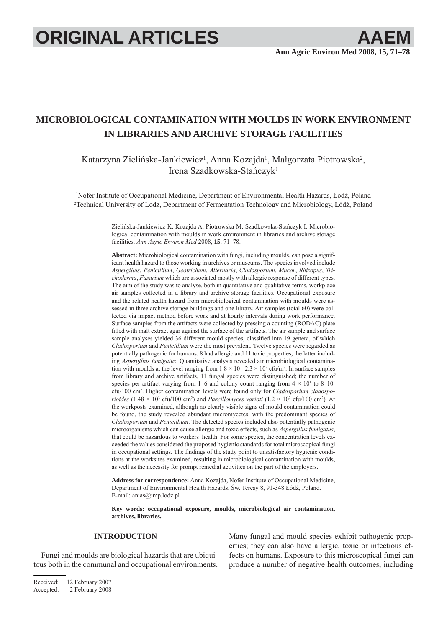# **ORIGINAL ARTICLES AAEM**

# **MICROBIOLOGICAL CONTAMINATION WITH MOULDS IN WORK ENVIRONMENT IN LIBRARIES AND ARCHIVE STORAGE FACILITIES**

Katarzyna Zielińska-Jankiewicz<sup>1</sup>, Anna Kozajda<sup>1</sup>, Małgorzata Piotrowska<sup>2</sup>, Irena Szadkowska-Stańczyk1

1 Nofer Institute of Occupational Medicine, Department of Environmental Health Hazards, Łódź, Poland 2 Technical University of Lodz, Department of Fermentation Technology and Microbiology, Łódź, Poland

> Zielińska-Jankiewicz K, Kozajda A, Piotrowska M, Szadkowska-Stańczyk I: Microbiological contamination with moulds in work environment in libraries and archive storage facilities. *Ann Agric Environ Med* 2008, **15**, 71–78.

> **Abstract:** Microbiological contamination with fungi, including moulds, can pose a significant health hazard to those working in archives or museums. The species involved include *Aspergillus*, *Penicillium*, *Geotrichum*, *Alternaria*, *Cladosporium*, *Mucor*, *Rhizopus*, *Trichoderma*, *Fusarium* which are associated mostly with allergic response of different types. The aim of the study was to analyse, both in quantitative and qualitative terms, workplace air samples collected in a library and archive storage facilities. Occupational exposure and the related health hazard from microbiological contamination with moulds were assessed in three archive storage buildings and one library. Air samples (total 60) were collected via impact method before work and at hourly intervals during work performance. Surface samples from the artifacts were collected by pressing a counting (RODAC) plate filled with malt extract agar against the surface of the artifacts. The air sample and surface sample analyses yielded 36 different mould species, classified into 19 genera, of which *Cladosporium* and *Penicillium* were the most prevalent. Twelve species were regarded as potentially pathogenic for humans: 8 had allergic and 11 toxic properties, the latter including *Aspergillus fumigatus*. Quantitative analysis revealed air microbiological contamination with moulds at the level ranging from  $1.8 \times 10^2 - 2.3 \times 10^3$  cfu/m<sup>3</sup>. In surface samples from library and archive artifacts, 11 fungal species were distinguished; the number of species per artifact varying from 1–6 and colony count ranging from  $4 \times 10^{1}$  to 8–10<sup>1</sup> cfu/100 cm2 . Higher contamination levels were found only for *Cladosporium cladosporioides* (1.48  $\times$  10<sup>3</sup> cfu/100 cm<sup>2</sup>) and *Paecillomyces varioti* (1.2  $\times$  10<sup>2</sup> cfu/100 cm<sup>2</sup>). At the workposts examined, although no clearly visible signs of mould contamination could be found, the study revealed abundant micromycetes, with the predominant species of *Cladosporium* and *Penicillium*. The detected species included also potentially pathogenic microorganisms which can cause allergic and toxic effects, such as *Aspergillus fumigatus*, that could be hazardous to workers' health. For some species, the concentration levels exceeded the values considered the proposed hygienic standards for total microscopical fungi in occupational settings. The findings of the study point to unsatisfactory hygienic conditions at the worksites examined, resulting in microbiological contamination with moulds, as well as the necessity for prompt remedial activities on the part of the employers.

> **Address for correspondence:** Anna Kozajda, Nofer Institute of Occupational Medicine, Department of Environmental Health Hazards, Św. Teresy 8, 91-348 Łódź, Poland. E-mail: anias@imp.lodz.pl

> **Key words: occupational exposure, moulds, microbiological air contamination, archives, libraries.**

## **INTRODUCTION**

Fungi and moulds are biological hazards that are ubiquitous both in the communal and occupational environments. Many fungal and mould species exhibit pathogenic properties; they can also have allergic, toxic or infectious effects on humans. Exposure to this microscopical fungi can produce a number of negative health outcomes, including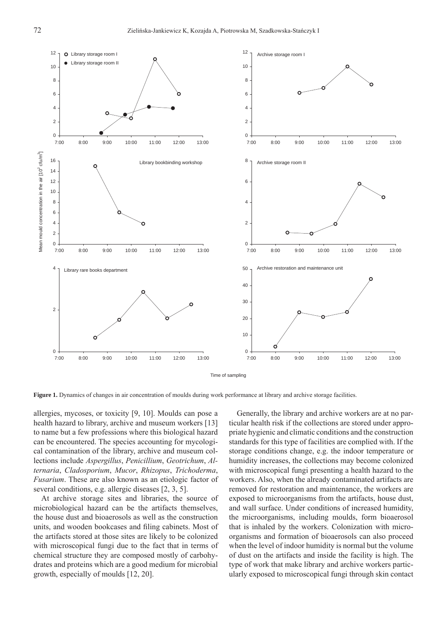

Time of sampling

**Figure 1.** Dynamics of changes in air concentration of moulds during work performance at library and archive storage facilities.

allergies, mycoses, or toxicity [9, 10]. Moulds can pose a health hazard to library, archive and museum workers [13] to name but a few professions where this biological hazard can be encountered. The species accounting for mycological contamination of the library, archive and museum collections include *Aspergillus*, *Penicillium*, *Geotrichum*, *Alternaria*, *Cladosporium*, *Mucor*, *Rhizopus*, *Trichoderma*, *Fusarium*. These are also known as an etiologic factor of several conditions, e.g. allergic diseases [2, 3, 5].

At archive storage sites and libraries, the source of microbiological hazard can be the artifacts themselves, the house dust and bioaerosols as well as the construction units, and wooden bookcases and filing cabinets. Most of the artifacts stored at those sites are likely to be colonized with microscopical fungi due to the fact that in terms of chemical structure they are composed mostly of carbohydrates and proteins which are a good medium for microbial growth, especially of moulds [12, 20].

Generally, the library and archive workers are at no particular health risk if the collections are stored under appropriate hygienic and climatic conditions and the construction standards for this type of facilities are complied with. If the storage conditions change, e.g. the indoor temperature or humidity increases, the collections may become colonized with microscopical fungi presenting a health hazard to the workers. Also, when the already contaminated artifacts are removed for restoration and maintenance, the workers are exposed to microorganisms from the artifacts, house dust, and wall surface. Under conditions of increased humidity, the microorganisms, including moulds, form bioaerosol that is inhaled by the workers. Colonization with microorganisms and formation of bioaerosols can also proceed when the level of indoor humidity is normal but the volume of dust on the artifacts and inside the facility is high. The type of work that make library and archive workers particularly exposed to microscopical fungi through skin contact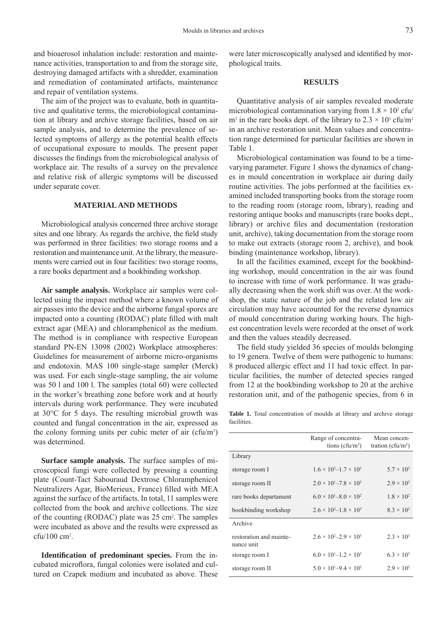and bioaerosol inhalation include: restoration and maintenance activities, transportation to and from the storage site, destroying damaged artifacts with a shredder, examination and remediation of contaminated artifacts, maintenance and repair of ventilation systems.

The aim of the project was to evaluate, both in quantitative and qualitative terms, the microbiological contamination at library and archive storage facilities, based on air sample analysis, and to determine the prevalence of selected symptoms of allergy as the potential health effects of occupational exposure to moulds. The present paper discusses the findings from the microbiological analysis of workplace air. The results of a survey on the prevalence and relative risk of allergic symptoms will be discussed under separate cover.

#### **MATERIAL AND METHODS**

Microbiological analysis concerned three archive storage sites and one library. As regards the archive, the field study was performed in three facilities: two storage rooms and a restoration and maintenance unit. At the library, the measurements were carried out in four facilities: two storage rooms, a rare books department and a bookbinding workshop.

**Air sample analysis.** Workplace air samples were collected using the impact method where a known volume of air passes into the device and the airborne fungal spores are impacted onto a counting (RODAC) plate filled with malt extract agar (MEA) and chloramphenicol as the medium. The method is in compliance with respective European standard PN-EN 13098 (2002) Workplace atmospheres: Guidelines for measurement of airborne micro-organisms and endotoxin. MAS 100 single-stage sampler (Merck) was used. For each single-stage sampling, the air volume was 50 l and 100 l. The samples (total 60) were collected in the worker's breathing zone before work and at hourly intervals during work performance. They were incubated at 30°C for 5 days. The resulting microbial growth was counted and fungal concentration in the air, expressed as the colony forming units per cubic meter of air  $(cfu/m<sup>3</sup>)$ was determined.

**Surface sample analysis.** The surface samples of microscopical fungi were collected by pressing a counting plate (Count-Tact Sabouraud Dextrose Chloramphenicol Neutralizers Agar, BioMerieux, France) filled with MEA against the surface of the artifacts. In total, 11 samples were collected from the book and archive collections. The size of the counting (RODAC) plate was 25 cm2 . The samples were incubated as above and the results were expressed as cfu/100 cm2 .

**Identification of predominant species.** From the incubated microflora, fungal colonies were isolated and cultured on Czapek medium and incubated as above. These were later microscopically analysed and identified by morphological traits.

# **RESULTS**

Quantitative analysis of air samples revealed moderate microbiological contamination varying from  $1.8 \times 10^2$  cfu/  $m<sup>3</sup>$  in the rare books dept. of the library to  $2.3 \times 10<sup>3</sup>$  cfu/m<sup>3</sup> in an archive restoration unit. Mean values and concentration range determined for particular facilities are shown in Table 1.

Microbiological contamination was found to be a timevarying parameter. Figure 1 shows the dynamics of changes in mould concentration in workplace air during daily routine activities. The jobs performed at the facilities examined included transporting books from the storage room to the reading room (storage room, library), reading and restoring antique books and manuscripts (rare books dept., library) or archive files and documentation (restoration unit, archive), taking documentation from the storage room to make out extracts (storage room 2, archive), and book binding (maintenance workshop, library).

In all the facilities examined, except for the bookbinding workshop, mould concentration in the air was found to increase with time of work performance. It was gradually decreasing when the work shift was over. At the workshop, the static nature of the job and the related low air circulation may have accounted for the reverse dynamics of mould concentration during working hours. The highest concentration levels were recorded at the onset of work and then the values steadily decreased.

The field study yielded 36 species of moulds belonging to 19 genera. Twelve of them were pathogenic to humans: 8 produced allergic effect and 11 had toxic effect. In particular facilities, the number of detected species ranged from 12 at the bookbinding workshop to 20 at the archive restoration unit, and of the pathogenic species, from 6 in

**Table 1.** Total concentration of moulds at library and archive storage facilities.

|                                       | Range of concentra-<br>tions ( $cfu/m^3$ ) | Mean concen-<br>tration ( $cfu/m^3$ ) |
|---------------------------------------|--------------------------------------------|---------------------------------------|
| Library                               |                                            |                                       |
| storage room I                        | $1.6 \times 10^{2} - 1.7 \times 10^{3}$    | $5.7 \times 10^{2}$                   |
| storage room II                       | $2.0 \times 10^{1} - 7.8 \times 10^{2}$    | $2.9 \times 10^{2}$                   |
| rare books departament                | $6.0 \times 10^{1} - 8.0 \times 10^{2}$    | $1.8 \times 10^{2}$                   |
| bookbinding workshop                  | $2.6 \times 10^{2} - 1.8 \times 10^{3}$    | $8.3 \times 10^{2}$                   |
| Archive                               |                                            |                                       |
| restoration and mainte-<br>nance unit | $2.6 \times 10^{2} - 2.9 \times 10^{3}$    | $2.3 \times 10^3$                     |
| storage room I                        | $6.0 \times 10^{1} - 1.2 \times 10^{3}$    | $6.3 \times 10^{2}$                   |
| storage room II                       | $5.0 \times 10^{1} - 9.4 \times 10^{2}$    | $2.9 \times 10^{2}$                   |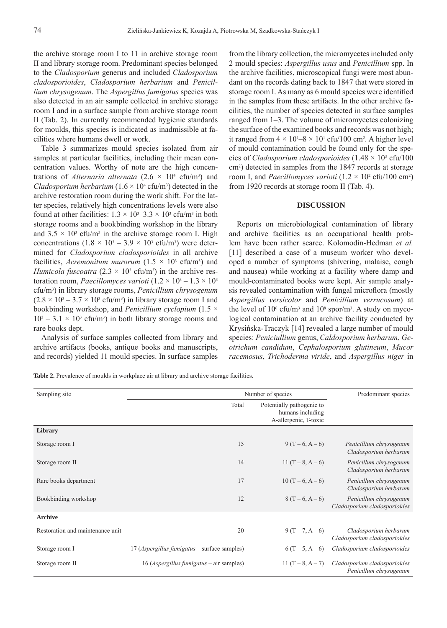the archive storage room I to 11 in archive storage room II and library storage room. Predominant species belonged to the *Cladosporium* generus and included *Cladosporium cladosporioides*, *Cladosporium herbarium* and *Penicillium chrysogenum*. The *Aspergillus fumigatus* species was also detected in an air sample collected in archive storage room I and in a surface sample from archive storage room II (Tab. 2). In currently recommended hygienic standards for moulds, this species is indicated as inadmissible at facilities where humans dwell or work.

Table 3 summarizes mould species isolated from air samples at particular facilities, including their mean concentration values. Worthy of note are the high concentrations of *Alternaria alternata*  $(2.6 \times 10^4 \text{ cftu/m}^3)$  and *Cladosporium herbarium* ( $1.6 \times 10^4$  cfu/m<sup>3</sup>) detected in the archive restoration room during the work shift. For the latter species, relatively high concentrations levels were also found at other facilities:  $1.3 \times 10^3 - 3.3 \times 10^3$  cfu/m<sup>3</sup> in both storage rooms and a bookbinding workshop in the library and  $3.5 \times 10^3$  cfu/m<sup>3</sup> in the archive storage room I. High concentrations  $(1.8 \times 10^3 - 3.9 \times 10^3 \text{ cftu/m}^3)$  were determined for *Cladosporium cladosporioides* in all archive facilities, *Acremonitum murorum*  $(1.5 \times 10^3 \text{ cftm})$  and *Humicola fuscoatra*  $(2.3 \times 10^3 \text{ cft/m}^3)$  in the archive restoration room, *Paecillomyces varioti*  $(1.2 \times 10^3 - 1.3 \times 10^3)$ cfu/m3 ) in library storage rooms, *Penicillium chrysogenum*  $(2.8 \times 10^3 - 3.7 \times 10^3 \text{ cftu/m}^3)$  in library storage room I and bookbinding workshop, and *Penicillium cyclopium* (1.5 ×  $10^3 - 3.1 \times 10^3$  cfu/m<sup>3</sup>) in both library storage rooms and rare books dept.

Analysis of surface samples collected from library and archive artifacts (books, antique books and manuscripts, and records) yielded 11 mould species. In surface samples

from the library collection, the micromycetes included only 2 mould species: *Aspergillus usus* and *Penicillium* spp. In the archive facilities, microscopical fungi were most abundant on the records dating back to 1847 that were stored in storage room I. As many as 6 mould species were identified in the samples from these artifacts. In the other archive facilities, the number of species detected in surface samples ranged from 1–3. The volume of micromycetes colonizing the surface of the examined books and records was not high; it ranged from  $4 \times 10^{1} - 8 \times 10^{1}$  cfu/100 cm<sup>2</sup>. A higher level of mould contamination could be found only for the species of *Cladosporium cladosporioides* (1.48 × 103 cfu/100 cm2 ) detected in samples from the 1847 records at storage room I, and *Paecillomyces varioti*  $(1.2 \times 10^2 \text{ cftu}/100 \text{ cm}^2)$ from 1920 records at storage room II (Tab. 4).

### **DISCUSSION**

Reports on microbiological contamination of library and archive facilities as an occupational health problem have been rather scarce. Kolomodin-Hedman *et al.* [11] described a case of a museum worker who developed a number of symptoms (shivering, malaise, cough and nausea) while working at a facility where damp and mould-contaminated books were kept. Air sample analysis revealed contamination with fungal microflora (mostly *Aspergillus versicolor* and *Penicillium verrucosum*) at the level of  $10^6$  cfu/m<sup>3</sup> and  $10^8$  spor/m<sup>3</sup>. A study on mycological contamination at an archive facility conducted by Krysińska-Traczyk [14] revealed a large number of mould species: *Peniciullium* genus, *Caldosporium herbarum*, *Geotrichum candidum*, *Cephalosporium glutineum*, *Mucor racemosus*, *Trichoderma viride*, and *Aspergillus niger* in

**Table 2.** Prevalence of moulds in workplace air at library and archive storage facilities.

| Sampling site                    | Number of species                                    | Predominant species                                                    |                                                        |
|----------------------------------|------------------------------------------------------|------------------------------------------------------------------------|--------------------------------------------------------|
|                                  | Total                                                | Potentially pathogenic to<br>humans including<br>A-allergenic, T-toxic |                                                        |
| Library                          |                                                      |                                                                        |                                                        |
| Storage room I                   | 15                                                   | $9(T-6, A-6)$                                                          | Penicillium chrysogenum<br>Cladosporium herbarum       |
| Storage room II                  | 14                                                   | 11 $(T-8, A-6)$                                                        | Penicillum chrysogenum<br>Cladosporium herbarum        |
| Rare books department            | 17                                                   | $10(T-6, A-6)$                                                         | Penicillum chrysogenum<br>Cladosporium herbarum        |
| Bookbinding workshop             | 12                                                   | $8(T-6, A-6)$                                                          | Penicillum chrysogenum<br>Cladosporium cladosporioides |
| <b>Archive</b>                   |                                                      |                                                                        |                                                        |
| Restoration and maintenance unit | 20                                                   | $9(T - 7, A - 6)$                                                      | Cladosporium herbarum<br>Cladosporium cladosporioides  |
| Storage room I                   | 17 ( <i>Aspergillus fumigatus</i> – surface samples) | $6(T-5, A-6)$                                                          | Cladosporium cladosporioides                           |
| Storage room II                  | 16 ( <i>Aspergillus fumigatus</i> $-$ air samples)   | 11 $(T-8, A-7)$                                                        | Cladosporium cladosporioides<br>Penicillum chrysogenum |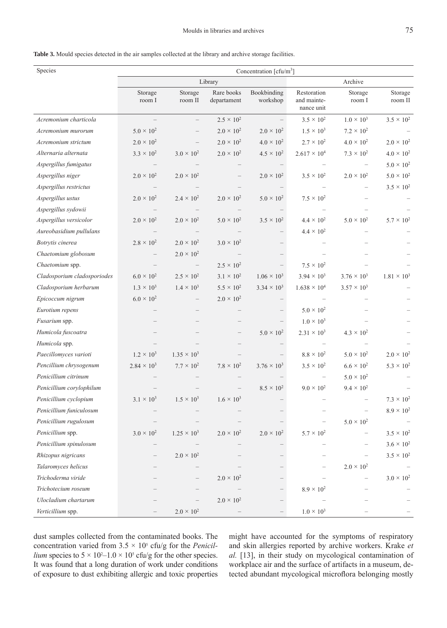| Species                     | Concentration [ $cfu/m3$ ] |                      |                           |                         |                                          |                      |                      |
|-----------------------------|----------------------------|----------------------|---------------------------|-------------------------|------------------------------------------|----------------------|----------------------|
|                             | Library<br>Archive         |                      |                           |                         |                                          |                      |                      |
|                             | Storage<br>room I          | Storage<br>room II   | Rare books<br>departament | Bookbinding<br>workshop | Restoration<br>and mainte-<br>nance unit | Storage<br>room I    | Storage<br>room II   |
| Acremonium charticola       |                            |                      | $2.5 \times 10^{2}$       |                         | $3.5 \times 10^{2}$                      | $1.0 \times 10^{3}$  | $3.5 \times 10^{2}$  |
| Acremonium murorum          | $5.0 \times 10^{2}$        |                      | $2.0 \times 10^{2}$       | $2.0 \times 10^{2}$     | $1.5 \times 10^{3}$                      | $7.2 \times 10^{2}$  |                      |
| Acremonium strictum         | $2.0 \times 10^{2}$        |                      | $2.0 \times 10^{2}$       | $4.0 \times 10^{2}$     | $2.7 \times 10^{2}$                      | $4.0 \times 10^{2}$  | $2.0 \times 10^{2}$  |
| Alternaria alternata        | $3.3 \times 10^{2}$        | $3.0 \times 10^{2}$  | $2.0 \times 10^{2}$       | $4.5 \times 10^{2}$     | $2.617 \times 10^{4}$                    | $7.3 \times 10^{2}$  | $4.0 \times 10^{2}$  |
| Aspergillus fumigatus       |                            |                      |                           |                         |                                          |                      | $5.0 \times 10^{2}$  |
| Aspergillus niger           | $2.0 \times 10^{2}$        | $2.0 \times 10^{2}$  |                           | $2.0 \times 10^{2}$     | $3.5 \times 10^{2}$                      | $2.0 \times 10^{2}$  | $5.0 \times 10^{2}$  |
| Aspergillus restrictus      |                            |                      |                           |                         |                                          |                      | $3.5 \times 10^{2}$  |
| Aspergillus ustus           | $2.0 \times 10^{2}$        | $2.4 \times 10^{2}$  | $2.0 \times 10^{2}$       | $5.0 \times 10^{2}$     | $7.5 \times 10^{2}$                      |                      |                      |
| Aspergillus sydowii         |                            |                      |                           |                         |                                          |                      |                      |
| Aspergillus versicolor      | $2.0 \times 10^{2}$        | $2.0 \times 10^2$    | $5.0 \times 10^{2}$       | $3.5 \times 10^{2}$     | $4.4 \times 10^{2}$                      | $5.0 \times 10^{2}$  | $5.7 \times 10^{2}$  |
| Aureobasidium pullulans     |                            |                      |                           |                         | $4.4 \times 10^{2}$                      |                      |                      |
| Botrytis cinerea            | $2.8 \times 10^{2}$        | $2.0 \times 10^{2}$  | $3.0 \times 10^{2}$       |                         |                                          |                      |                      |
| Chaetomium globosum         |                            | $2.0 \times 10^{2}$  |                           |                         |                                          |                      |                      |
| Chaetomium spp.             |                            |                      | $2.5 \times 10^{2}$       |                         | $7.5 \times 10^{2}$                      |                      |                      |
| Cladosporium cladosporiodes | $6.0 \times 10^{2}$        | $2.5 \times 10^{2}$  | $3.1 \times 10^{2}$       | $1.06 \times 10^3$      | $3.94 \times 10^{3}$                     | $3.76 \times 10^{3}$ | $1.81 \times 10^{3}$ |
| Cladosporium herbarum       | $1.3 \times 10^{3}$        | $1.4 \times 10^{3}$  | $5.5 \times 10^{2}$       | $3.34 \times 10^{3}$    | $1.638 \times 10^{4}$                    | $3.57 \times 10^{3}$ |                      |
| Epicoccum nigrum            | $6.0 \times 10^{2}$        |                      | $2.0 \times 10^{2}$       |                         |                                          |                      |                      |
| Eurotium repens             |                            |                      |                           |                         | $5.0 \times 10^{2}$                      |                      |                      |
| <i>Fusarium</i> spp.        |                            |                      |                           |                         | $1.0 \times 10^{3}$                      |                      |                      |
| Humicola fuscoatra          |                            |                      |                           | $5.0 \times 10^{2}$     | $2.31 \times 10^3$                       | $4.3 \times 10^{2}$  |                      |
| Humicola spp.               |                            |                      |                           |                         |                                          |                      |                      |
| Paecillomyces varioti       | $1.2 \times 10^{3}$        | $1.35 \times 10^{3}$ |                           |                         | $8.8 \times 10^{2}$                      | $5.0 \times 10^{2}$  | $2.0 \times 10^{2}$  |
| Pencillium chrysogenum      | $2.84 \times 10^{3}$       | $7.7 \times 10^{2}$  | $7.8 \times 10^{2}$       | $3.76 \times 10^{3}$    | $3.5 \times 10^{2}$                      | $6.6 \times 10^{2}$  | $5.3 \times 10^{2}$  |
| Penicillium citrinum        |                            |                      |                           |                         |                                          | $5.0 \times 10^{2}$  |                      |
| Penicillium corylophilum    |                            |                      |                           | $8.5 \times 10^{2}$     | $9.0 \times 10^{2}$                      | $9.4 \times 10^{2}$  |                      |
| Penicillium cyclopium       | $3.1 \times 10^{3}$        | $1.5 \times 10^3$    | $1.6 \times 10^{3}$       |                         |                                          |                      | $7.3 \times 10^{2}$  |
| Penicillium funiculosum     |                            |                      |                           |                         |                                          |                      | $8.9 \times 10^{2}$  |
| Penicillium rugulosum       |                            |                      |                           |                         |                                          | $5.0 \times 10^{2}$  |                      |
| Penicillium spp.            | $3.0\times10^{2}$          | $1.25 \times 10^3$   | $2.0 \times 10^{2}$       | $2.0 \times 10^{2}$     | $5.7 \times 10^{2}$                      |                      | $3.5 \times 10^{2}$  |
| Penicillium spinulosum      |                            |                      |                           |                         |                                          |                      | $3.6 \times 10^{2}$  |
| Rhizopus nigricans          |                            | $2.0 \times 10^{2}$  |                           |                         |                                          |                      | $3.5 \times 10^{2}$  |
| Talaromyces helicus         |                            |                      |                           |                         |                                          | $2.0 \times 10^{2}$  |                      |
| Trichoderma viride          |                            |                      | $2.0 \times 10^{2}$       |                         |                                          |                      | $3.0\times10^2$      |
| Trichotecium roseum         |                            |                      |                           |                         | $8.9 \times 10^{2}$                      |                      |                      |
| Ulocladium chartarum        |                            |                      | $2.0 \times 10^{2}$       |                         |                                          |                      |                      |
| Verticillium spp.           |                            | $2.0 \times 10^{2}$  |                           |                         | $1.0 \times 10^3$                        |                      |                      |

dust samples collected from the contaminated books. The concentration varied from  $3.5 \times 10^5$  cfu/g for the *Penicillium* species to  $5 \times 10^2 - 1.0 \times 10^5$  cfu/g for the other species. It was found that a long duration of work under conditions of exposure to dust exhibiting allergic and toxic properties might have accounted for the symptoms of respiratory and skin allergies reported by archive workers. Krake *et al.* [13], in their study on mycological contamination of workplace air and the surface of artifacts in a museum, detected abundant mycological microflora belonging mostly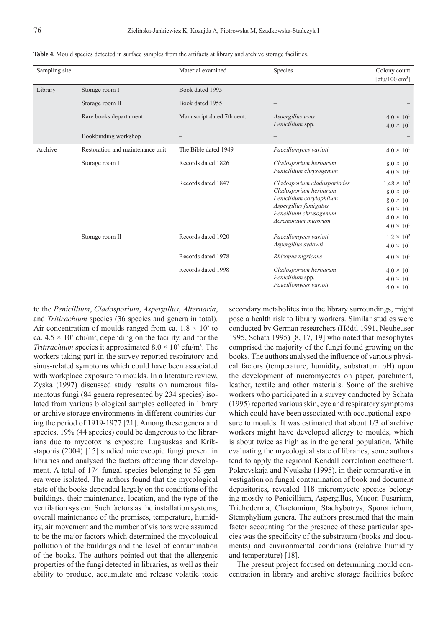| Sampling site |                                  | Material examined          | Species                                                                                                                                                   | Colony count<br>[cfu/100 cm <sup>3</sup> ]                                                                                              |
|---------------|----------------------------------|----------------------------|-----------------------------------------------------------------------------------------------------------------------------------------------------------|-----------------------------------------------------------------------------------------------------------------------------------------|
| Library       | Storage room I                   | Book dated 1995            |                                                                                                                                                           |                                                                                                                                         |
|               | Storage room II                  | Book dated 1955            |                                                                                                                                                           |                                                                                                                                         |
|               | Rare books departament           | Manuscript dated 7th cent. | Aspergillus usus<br>Penicillium spp.                                                                                                                      | $4.0 \times 10^{1}$<br>$4.0 \times 10^{1}$                                                                                              |
|               | Bookbinding workshop             |                            |                                                                                                                                                           |                                                                                                                                         |
| Archive       | Restoration and maintenance unit | The Bible dated 1949       | Paecillomyces varioti                                                                                                                                     | $4.0 \times 10^{1}$                                                                                                                     |
|               | Storage room I                   | Records dated 1826         | Cladosporium herbarum<br>Penicillium chrysogenum                                                                                                          | $8.0 \times 10^{1}$<br>$4.0 \times 10^{1}$                                                                                              |
|               |                                  | Records dated 1847         | Cladosporium cladosporiodes<br>Cladosporium herbarum<br>Penicillium corylophilum<br>Aspergillus fumigatus<br>Pencillium chrysogenum<br>Acremonium murorum | $1.48 \times 10^{3}$<br>$8.0 \times 10^{1}$<br>$8.0 \times 10^{1}$<br>$8.0 \times 10^{1}$<br>$4.0 \times 10^{1}$<br>$4.0 \times 10^{1}$ |
|               | Storage room II                  | Records dated 1920         | Paecillomyces varioti<br>Aspergillus sydowii                                                                                                              | $1.2 \times 10^{2}$<br>$4.0 \times 10^{1}$                                                                                              |
|               |                                  | Records dated 1978         | Rhizopus nigricans                                                                                                                                        | $4.0 \times 10^{1}$                                                                                                                     |
|               |                                  | Records dated 1998         | Cladosporium herbarum<br>Penicillium spp.<br>Paecillomyces varioti                                                                                        | $4.0 \times 10^{1}$<br>$4.0 \times 10^{1}$<br>$4.0 \times 10^{1}$                                                                       |

**Table 4.** Mould species detected in surface samples from the artifacts at library and archive storage facilities.

to the *Penicillium*, *Cladosporium*, *Aspergillus*, *Alternaria*, and *Tritirachium* species (36 species and genera in total). Air concentration of moulds ranged from ca.  $1.8 \times 10^2$  to ca.  $4.5 \times 10^2$  cfu/m<sup>3</sup>, depending on the facility, and for the *Tritirachium* species it approximated  $8.0 \times 10^2$  cfu/m<sup>3</sup>. The workers taking part in the survey reported respiratory and sinus-related symptoms which could have been associated with workplace exposure to moulds. In a literature review, Zyska (1997) discussed study results on numerous filamentous fungi (84 genera represented by 234 species) isolated from various biological samples collected in library or archive storage environments in different countries during the period of 1919-1977 [21]. Among these genera and species,  $19\%$  (44 species) could be dangerous to the librarians due to mycotoxins exposure. Lugauskas and Krikstaponis (2004) [15] studied microscopic fungi present in libraries and analysed the factors affecting their development. A total of 174 fungal species belonging to 52 genera were isolated. The authors found that the mycological state of the books depended largely on the conditions of the buildings, their maintenance, location, and the type of the ventilation system. Such factors as the installation systems, overall maintenance of the premises, temperature, humidity, air movement and the number of visitors were assumed to be the major factors which determined the mycological pollution of the buildings and the level of contamination of the books. The authors pointed out that the allergenic properties of the fungi detected in libraries, as well as their ability to produce, accumulate and release volatile toxic

secondary metabolites into the library surroundings, might pose a health risk to library workers. Similar studies were conducted by German researchers (Hödtl 1991, Neuheuser 1995, Schata 1995) [8, 17, 19] who noted that mesophytes comprised the majority of the fungi found growing on the books. The authors analysed the influence of various physical factors (temperature, humidity, substratum pH) upon the development of micromycetes on paper, parchment, leather, textile and other materials. Some of the archive workers who participated in a survey conducted by Schata (1995) reported various skin, eye and respiratory symptoms which could have been associated with occupational exposure to moulds. It was estimated that about 1/3 of archive workers might have developed allergy to moulds, which is about twice as high as in the general population. While evaluating the mycological state of libraries, some authors tend to apply the regional Kendall correlation coefficient. Pokrovskaja and Nyuksha (1995), in their comparative investigation on fungal contamination of book and document depositories, revealed 118 micromycete species belonging mostly to Penicillium, Aspergillus, Mucor, Fusarium, Trichoderma, Chaetomium, Stachybotrys, Sporotrichum, Stemphylium genera. The authors presumed that the main factor accounting for the presence of these particular species was the specificity of the substratum (books and documents) and environmental conditions (relative humidity and temperature) [18].

The present project focused on determining mould concentration in library and archive storage facilities before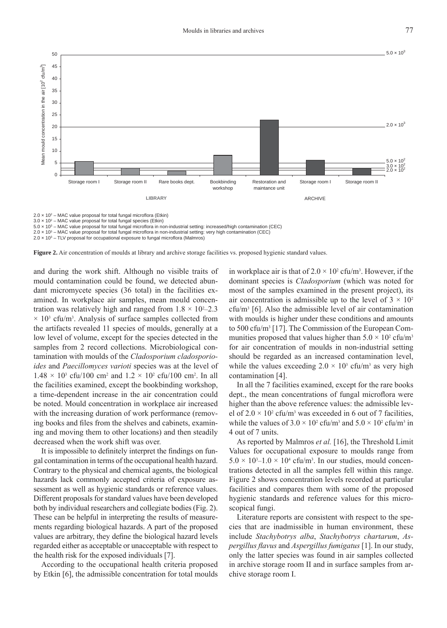

3.0 × 102 – MAC value proposal for total fungal species (Etkin)

5.0 x 10<sup>3</sup> – MAC value proposal for total fungal microflora in non-industrial setting: increased/high contamination (CEC)

2.0 x 10<sup>3</sup> – MAC value proposal for total fungal microflora in non-industrial setting: very high contamination (CEC)

2.0 x 10<sup>3</sup> – TLV proposal for occupational exposure to fungal microflora (Malmros)

**Figure 2.** Air concentration of moulds at library and archive storage facilities vs. proposed hygienic standard values.

and during the work shift. Although no visible traits of mould contamination could be found, we detected abundant micromycete species (36 total) in the facilities examined. In workplace air samples, mean mould concentration was relatively high and ranged from  $1.8 \times 10^{2}$ –2.3  $\times$  10<sup>3</sup> cfu/m<sup>3</sup>. Analysis of surface samples collected from the artifacts revealed 11 species of moulds, generally at a low level of volume, except for the species detected in the samples from 2 record collections. Microbiological contamination with moulds of the *Cladosporium cladosporioides* and *Paecillomyces varioti* species was at the level of  $1.48 \times 10^3$  cfu/100 cm<sup>2</sup> and  $1.2 \times 10^2$  cfu/100 cm<sup>2</sup>. In all the facilities examined, except the bookbinding workshop, a time-dependent increase in the air concentration could be noted. Mould concentration in workplace air increased with the increasing duration of work performance (removing books and files from the shelves and cabinets, examining and moving them to other locations) and then steadily decreased when the work shift was over.

It is impossible to definitely interpret the findings on fungal contamination in terms of the occupational health hazard. Contrary to the physical and chemical agents, the biological hazards lack commonly accepted criteria of exposure assessment as well as hygienic standards or reference values. Different proposals for standard values have been developed both by individual researchers and collegiate bodies (Fig. 2). These can be helpful in interpreting the results of measurements regarding biological hazards. A part of the proposed values are arbitrary, they define the biological hazard levels regarded either as acceptable or unacceptable with respect to the health risk for the exposed individuals [7].

According to the occupational health criteria proposed by Etkin [6], the admissible concentration for total moulds

in workplace air is that of  $2.0 \times 10^2$  cfu/m<sup>3</sup>. However, if the dominant species is *Cladosporium* (which was noted for most of the samples examined in the present project), its air concentration is admissible up to the level of  $3 \times 10^2$ cfu/m3 [6]. Also the admissible level of air contamination with moulds is higher under these conditions and amounts to 500 cfu/m3 [17]. The Commission of the European Communities proposed that values higher than  $5.0 \times 10^2$  cfu/m<sup>3</sup> for air concentration of moulds in non-industrial setting should be regarded as an increased contamination level, while the values exceeding  $2.0 \times 10^3$  cfu/m<sup>3</sup> as very high contamination [4].

In all the 7 facilities examined, except for the rare books dept., the mean concentrations of fungal microflora were higher than the above reference values: the admissible level of  $2.0 \times 10^2$  cfu/m<sup>3</sup> was exceeded in 6 out of 7 facilities, while the values of  $3.0 \times 10^2$  cfu/m<sup>3</sup> and  $5.0 \times 10^2$  cfu/m<sup>3</sup> in 4 out of 7 units.

As reported by Malmros *et al.* [16], the Threshold Limit Values for occupational exposure to moulds range from  $5.0 \times 10^{3}$ – $1.0 \times 10^{4}$  cfu/m<sup>3</sup>. In our studies, mould concentrations detected in all the samples fell within this range. Figure 2 shows concentration levels recorded at particular facilities and compares them with some of the proposed hygienic standards and reference values for this microscopical fungi.

Literature reports are consistent with respect to the species that are inadmissible in human environment, these include *Stachybotrys alba*, *Stachybotrys chartarum*, *Aspergillus flavus* and *Aspergillus fumigatus* [1]. In our study, only the latter species was found in air samples collected in archive storage room II and in surface samples from archive storage room I.